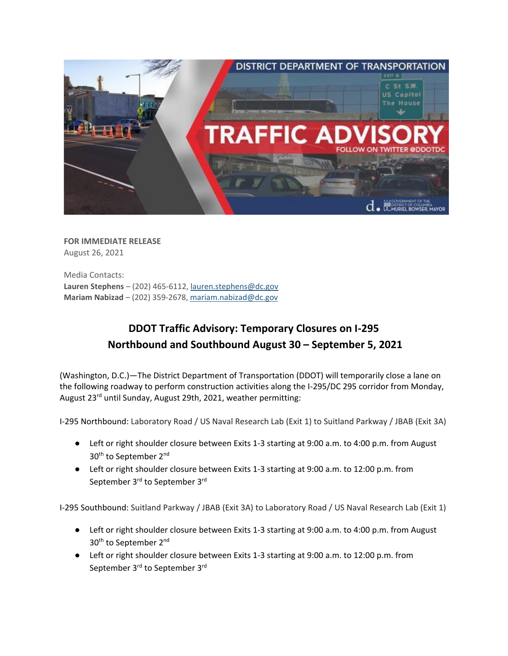

**FOR IMMEDIATE RELEASE** August 26, 2021

Media Contacts: **Lauren Stephens** – (202) 465-6112[, lauren.stephens@dc.gov](mailto:lauren.stephens@dc.gov) **Mariam Nabizad** – (202) 359-2678, [mariam.nabizad@dc.gov](mailto:mariam.nabizad@dc.gov)

## **DDOT Traffic Advisory: Temporary Closures on I-295 Northbound and Southbound August 30 – September 5, 2021**

(Washington, D.C.)—The District Department of Transportation (DDOT) will temporarily close a lane on the following roadway to perform construction activities along the I-295/DC 295 corridor from Monday, August 23rd until Sunday, August 29th, 2021, weather permitting:

I-295 Northbound: Laboratory Road / US Naval Research Lab (Exit 1) to Suitland Parkway / JBAB (Exit 3A)

- Left or right shoulder closure between Exits 1-3 starting at 9:00 a.m. to 4:00 p.m. from August 30<sup>th</sup> to September 2<sup>nd</sup>
- Left or right shoulder closure between Exits 1-3 starting at 9:00 a.m. to 12:00 p.m. from September 3rd to September 3rd

I-295 Southbound: Suitland Parkway / JBAB (Exit 3A) to Laboratory Road / US Naval Research Lab (Exit 1)

- Left or right shoulder closure between Exits 1-3 starting at 9:00 a.m. to 4:00 p.m. from August 30<sup>th</sup> to September 2<sup>nd</sup>
- Left or right shoulder closure between Exits 1-3 starting at 9:00 a.m. to 12:00 p.m. from September 3<sup>rd</sup> to September 3<sup>rd</sup>